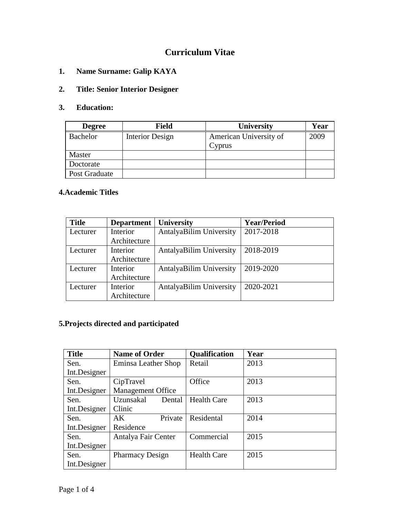# **Curriculum Vitae**

**1. Name Surname: Galip KAYA**

### **2. Title: Senior Interior Designer**

### **3. Education:**

| <b>Degree</b> | <b>Field</b>    | <b>University</b>      | Year |
|---------------|-----------------|------------------------|------|
| Bachelor      | Interior Design | American University of | 2009 |
|               |                 | Cyprus                 |      |
| Master        |                 |                        |      |
| Doctorate     |                 |                        |      |
| Post Graduate |                 |                        |      |

# **4.Academic Titles**

| <b>Title</b> | <b>Department</b> | University                     | <b>Year/Period</b> |
|--------------|-------------------|--------------------------------|--------------------|
| Lecturer     | Interior          | <b>AntalyaBilim University</b> | 2017-2018          |
|              | Architecture      |                                |                    |
| Lecturer     | Interior          | AntalyaBilim University        | 2018-2019          |
|              | Architecture      |                                |                    |
| Lecturer     | Interior          | <b>AntalyaBilim University</b> | 2019-2020          |
|              | Architecture      |                                |                    |
| Lecturer     | Interior          | <b>AntalyaBilim University</b> | 2020-2021          |
|              | Architecture      |                                |                    |

# **5.Projects directed and participated**

| <b>Title</b> | <b>Name of Order</b>     | <b>Qualification</b> | Year |
|--------------|--------------------------|----------------------|------|
| Sen.         | Eminsa Leather Shop      | Retail               | 2013 |
| Int.Designer |                          |                      |      |
| Sen.         | CipTravel                | Office               | 2013 |
| Int.Designer | <b>Management Office</b> |                      |      |
| Sen.         | Uzunsakal<br>Dental      | <b>Health Care</b>   | 2013 |
| Int.Designer | Clinic                   |                      |      |
| Sen.         | Private<br>AK            | Residental           | 2014 |
| Int.Designer | Residence                |                      |      |
| Sen.         | Antalya Fair Center      | Commercial           | 2015 |
| Int.Designer |                          |                      |      |
| Sen.         | <b>Pharmacy Design</b>   | <b>Health Care</b>   | 2015 |
| Int.Designer |                          |                      |      |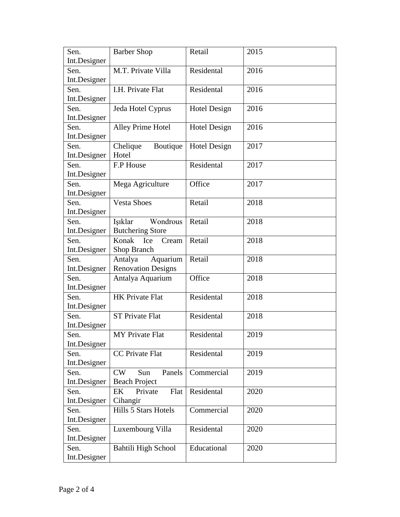| Sen.         | <b>Barber Shop</b>        | Retail              | 2015 |
|--------------|---------------------------|---------------------|------|
| Int.Designer |                           |                     |      |
| Sen.         | M.T. Private Villa        | Residental          | 2016 |
| Int.Designer |                           |                     |      |
| Sen.         | I.H. Private Flat         | Residental          | 2016 |
| Int.Designer |                           |                     |      |
| Sen.         | Jeda Hotel Cyprus         | Hotel Design        | 2016 |
| Int.Designer |                           |                     |      |
| Sen.         | Alley Prime Hotel         | <b>Hotel Design</b> | 2016 |
| Int.Designer |                           |                     |      |
| Sen.         | Chelique<br>Boutique      | <b>Hotel Design</b> | 2017 |
| Int.Designer | Hotel                     |                     |      |
| Sen.         | F.P House                 | Residental          | 2017 |
| Int.Designer |                           |                     |      |
| Sen.         | Mega Agriculture          | Office              | 2017 |
| Int.Designer |                           |                     |      |
| Sen.         | <b>Vesta Shoes</b>        | Retail              | 2018 |
| Int.Designer |                           |                     |      |
| Sen.         | Wondrous<br>Işıklar       | Retail              | 2018 |
| Int.Designer | <b>Butchering Store</b>   |                     |      |
| Sen.         | Konak<br>Cream<br>Ice     | Retail              | 2018 |
| Int.Designer | Shop Branch               |                     |      |
| Sen.         | Antalya<br>Aquarium       | Retail              | 2018 |
| Int.Designer | <b>Renovation Designs</b> |                     |      |
| Sen.         | Antalya Aquarium          | Office              | 2018 |
| Int.Designer |                           |                     |      |
| Sen.         | <b>HK Private Flat</b>    | Residental          | 2018 |
| Int.Designer |                           |                     |      |
| Sen.         | <b>ST Private Flat</b>    | Residental          | 2018 |
| Int.Designer |                           |                     |      |
| Sen.         | <b>MY</b> Private Flat    | Residental          | 2019 |
| Int.Designer |                           |                     |      |
| Sen.         | CC Private Flat           | Residental          | 2019 |
| Int.Designer |                           |                     |      |
| Sen.         | CW<br>Panels<br>Sun       | Commercial          | 2019 |
| Int.Designer | <b>Beach Project</b>      |                     |      |
| Sen.         | EK<br>Flat<br>Private     | Residental          | 2020 |
| Int.Designer | Cihangir                  |                     |      |
| Sen.         | Hills 5 Stars Hotels      | Commercial          | 2020 |
| Int.Designer |                           |                     |      |
| Sen.         | Luxembourg Villa          | Residental          | 2020 |
| Int.Designer |                           |                     |      |
| Sen.         | Bahtili High School       | Educational         | 2020 |
| Int.Designer |                           |                     |      |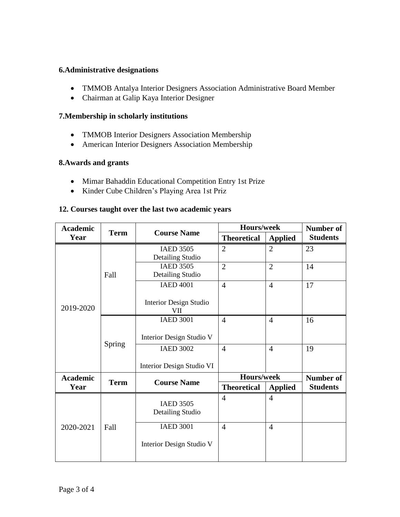#### **6.Administrative designations**

- TMMOB Antalya Interior Designers Association Administrative Board Member
- Chairman at Galip Kaya Interior Designer

### **7.Membership in scholarly institutions**

- TMMOB Interior Designers Association Membership
- American Interior Designers Association Membership

#### **8.Awards and grants**

- Mimar Bahaddin Educational Competition Entry 1st Prize
- Kinder Cube Children's Playing Area 1st Priz

#### **12. Courses taught over the last two academic years**

| <b>Academic</b> | <b>Term</b> | <b>Course Name</b>                          | Hours/week         |                | <b>Number of</b> |
|-----------------|-------------|---------------------------------------------|--------------------|----------------|------------------|
| Year            |             |                                             | <b>Theoretical</b> | <b>Applied</b> | <b>Students</b>  |
| 2019-2020       | Fall        | <b>IAED 3505</b><br>Detailing Studio        | $\overline{2}$     | $\overline{2}$ | 23               |
|                 |             | <b>IAED 3505</b><br><b>Detailing Studio</b> | $\overline{2}$     | $\overline{2}$ | 14               |
|                 |             | <b>IAED 4001</b>                            | $\overline{4}$     | $\overline{4}$ | 17               |
|                 |             | <b>Interior Design Studio</b><br>VII        |                    |                |                  |
|                 | Spring      | <b>IAED 3001</b>                            | $\overline{4}$     | $\overline{4}$ | 16               |
|                 |             | Interior Design Studio V                    |                    |                |                  |
|                 |             | <b>IAED 3002</b>                            | $\overline{4}$     | $\overline{4}$ | 19               |
|                 |             | Interior Design Studio VI                   |                    |                |                  |
| <b>Academic</b> | <b>Term</b> | <b>Course Name</b>                          | Hours/week         |                | <b>Number of</b> |
| Year            |             |                                             | <b>Theoretical</b> | <b>Applied</b> | <b>Students</b>  |
| 2020-2021       | Fall        | <b>IAED 3505</b><br>Detailing Studio        | $\overline{4}$     | $\overline{4}$ |                  |
|                 |             | <b>IAED 3001</b>                            | $\overline{4}$     | $\overline{4}$ |                  |
|                 |             | Interior Design Studio V                    |                    |                |                  |